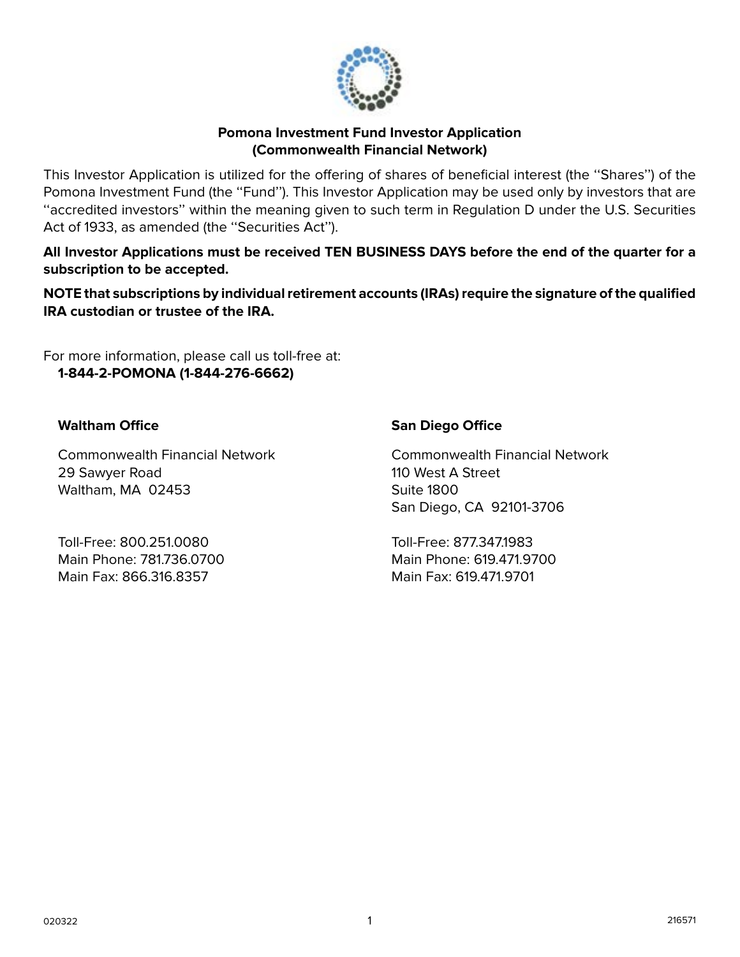

### **Pomona Investment Fund Investor Application (Commonwealth Financial Network)**

This Investor Application is utilized for the offering of shares of beneficial interest (the ''Shares'') of the Pomona Investment Fund (the ''Fund''). This Investor Application may be used only by investors that are ''accredited investors'' within the meaning given to such term in Regulation D under the U.S. Securities Act of 1933, as amended (the "Securities Act").

**All Investor Applications must be received TEN BUSINESS DAYS before the end of the quarter for a subscription to be accepted.**

**NOTE that subscriptions by individual retirement accounts (IRAs) require the signature of the qualified IRA custodian or trustee of the IRA.**

For more information, please call us toll-free at: **1-844-2-POMONA (1-844-276-6662)**

# **Waltham Office**

Commonwealth Financial Network 29 Sawyer Road Waltham, MA 02453

Toll-Free: 800.251.0080 Main Phone: 781.736.0700 Main Fax: 866.316.8357

# **San Diego Office**

Commonwealth Financial Network 110 West A Street Suite 1800 San Diego, CA 92101-3706

Toll-Free: 877.347.1983 Main Phone: 619.471.9700 Main Fax: 619.471.9701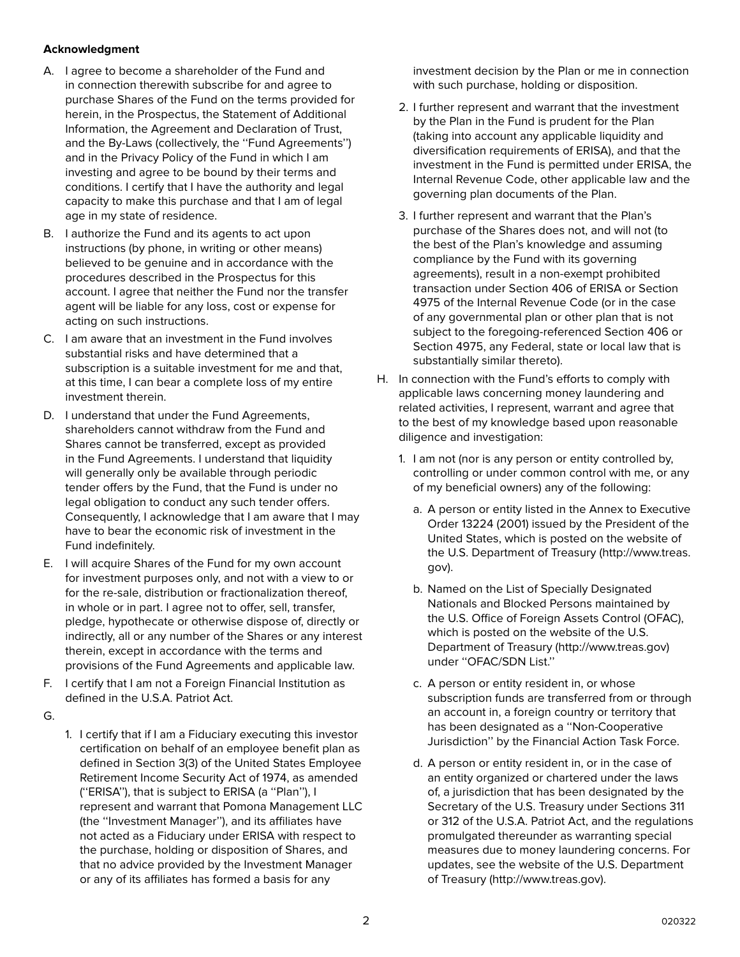#### **Acknowledgment**

- A. I agree to become a shareholder of the Fund and in connection therewith subscribe for and agree to purchase Shares of the Fund on the terms provided for herein, in the Prospectus, the Statement of Additional Information, the Agreement and Declaration of Trust, and the By-Laws (collectively, the ''Fund Agreements'') and in the Privacy Policy of the Fund in which I am investing and agree to be bound by their terms and conditions. I certify that I have the authority and legal capacity to make this purchase and that I am of legal age in my state of residence.
- B. I authorize the Fund and its agents to act upon instructions (by phone, in writing or other means) believed to be genuine and in accordance with the procedures described in the Prospectus for this account. I agree that neither the Fund nor the transfer agent will be liable for any loss, cost or expense for acting on such instructions.
- C. I am aware that an investment in the Fund involves substantial risks and have determined that a subscription is a suitable investment for me and that, at this time, I can bear a complete loss of my entire investment therein.
- D. I understand that under the Fund Agreements, shareholders cannot withdraw from the Fund and Shares cannot be transferred, except as provided in the Fund Agreements. I understand that liquidity will generally only be available through periodic tender offers by the Fund, that the Fund is under no legal obligation to conduct any such tender offers. Consequently, I acknowledge that I am aware that I may have to bear the economic risk of investment in the Fund indefinitely.
- E. I will acquire Shares of the Fund for my own account for investment purposes only, and not with a view to or for the re-sale, distribution or fractionalization thereof, in whole or in part. I agree not to offer, sell, transfer, pledge, hypothecate or otherwise dispose of, directly or indirectly, all or any number of the Shares or any interest therein, except in accordance with the terms and provisions of the Fund Agreements and applicable law.
- F. I certify that I am not a Foreign Financial Institution as defined in the U.S.A. Patriot Act.
- G.
- 1. I certify that if I am a Fiduciary executing this investor certification on behalf of an employee benefit plan as defined in Section 3(3) of the United States Employee Retirement Income Security Act of 1974, as amended (''ERISA''), that is subject to ERISA (a ''Plan''), I represent and warrant that Pomona Management LLC (the ''Investment Manager''), and its affiliates have not acted as a Fiduciary under ERISA with respect to the purchase, holding or disposition of Shares, and that no advice provided by the Investment Manager or any of its affiliates has formed a basis for any

investment decision by the Plan or me in connection with such purchase, holding or disposition.

- 2. I further represent and warrant that the investment by the Plan in the Fund is prudent for the Plan (taking into account any applicable liquidity and diversification requirements of ERISA), and that the investment in the Fund is permitted under ERISA, the Internal Revenue Code, other applicable law and the governing plan documents of the Plan.
- 3. I further represent and warrant that the Plan's purchase of the Shares does not, and will not (to the best of the Plan's knowledge and assuming compliance by the Fund with its governing agreements), result in a non-exempt prohibited transaction under Section 406 of ERISA or Section 4975 of the Internal Revenue Code (or in the case of any governmental plan or other plan that is not subject to the foregoing-referenced Section 406 or Section 4975, any Federal, state or local law that is substantially similar thereto).
- H. In connection with the Fund's efforts to comply with applicable laws concerning money laundering and related activities, I represent, warrant and agree that to the best of my knowledge based upon reasonable diligence and investigation:
	- 1. I am not (nor is any person or entity controlled by, controlling or under common control with me, or any of my beneficial owners) any of the following:
		- a. A person or entity listed in the Annex to Executive Order 13224 (2001) issued by the President of the United States, which is posted on the website of the U.S. Department of Treasury (http://www.treas. gov).
		- b. Named on the List of Specially Designated Nationals and Blocked Persons maintained by the U.S. Office of Foreign Assets Control (OFAC), which is posted on the website of the U.S. Department of Treasury (http://www.treas.gov) under ''OFAC/SDN List.''
		- c. A person or entity resident in, or whose subscription funds are transferred from or through an account in, a foreign country or territory that has been designated as a ''Non-Cooperative Jurisdiction'' by the Financial Action Task Force.
		- d. A person or entity resident in, or in the case of an entity organized or chartered under the laws of, a jurisdiction that has been designated by the Secretary of the U.S. Treasury under Sections 311 or 312 of the U.S.A. Patriot Act, and the regulations promulgated thereunder as warranting special measures due to money laundering concerns. For updates, see the website of the U.S. Department of Treasury (http://www.treas.gov).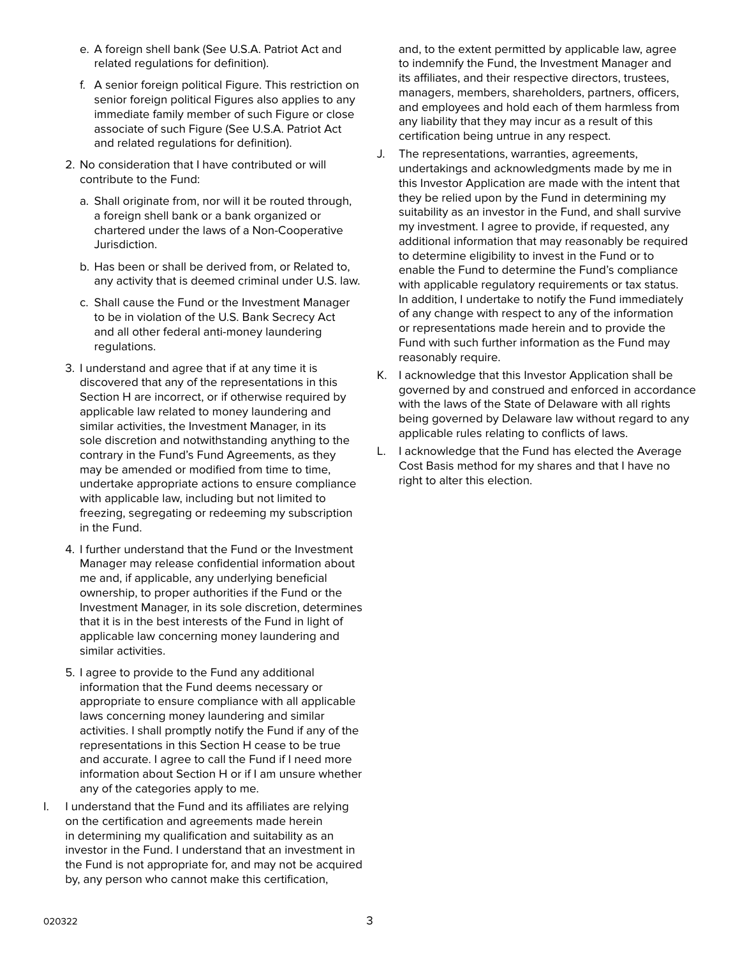- e. A foreign shell bank (See U.S.A. Patriot Act and related regulations for definition).
- f. A senior foreign political Figure. This restriction on senior foreign political Figures also applies to any immediate family member of such Figure or close associate of such Figure (See U.S.A. Patriot Act and related regulations for definition).
- 2. No consideration that I have contributed or will contribute to the Fund:
	- a. Shall originate from, nor will it be routed through, a foreign shell bank or a bank organized or chartered under the laws of a Non-Cooperative Jurisdiction.
	- b. Has been or shall be derived from, or Related to, any activity that is deemed criminal under U.S. law.
	- c. Shall cause the Fund or the Investment Manager to be in violation of the U.S. Bank Secrecy Act and all other federal anti-money laundering regulations.
- 3. I understand and agree that if at any time it is discovered that any of the representations in this Section H are incorrect, or if otherwise required by applicable law related to money laundering and similar activities, the Investment Manager, in its sole discretion and notwithstanding anything to the contrary in the Fund's Fund Agreements, as they may be amended or modified from time to time, undertake appropriate actions to ensure compliance with applicable law, including but not limited to freezing, segregating or redeeming my subscription in the Fund.
- 4. I further understand that the Fund or the Investment Manager may release confidential information about me and, if applicable, any underlying beneficial ownership, to proper authorities if the Fund or the Investment Manager, in its sole discretion, determines that it is in the best interests of the Fund in light of applicable law concerning money laundering and similar activities.
- 5. I agree to provide to the Fund any additional information that the Fund deems necessary or appropriate to ensure compliance with all applicable laws concerning money laundering and similar activities. I shall promptly notify the Fund if any of the representations in this Section H cease to be true and accurate. I agree to call the Fund if I need more information about Section H or if I am unsure whether any of the categories apply to me.
- I. I understand that the Fund and its affiliates are relying on the certification and agreements made herein in determining my qualification and suitability as an investor in the Fund. I understand that an investment in the Fund is not appropriate for, and may not be acquired by, any person who cannot make this certification,

and, to the extent permitted by applicable law, agree to indemnify the Fund, the Investment Manager and its affiliates, and their respective directors, trustees, managers, members, shareholders, partners, officers, and employees and hold each of them harmless from any liability that they may incur as a result of this certification being untrue in any respect.

- J. The representations, warranties, agreements, undertakings and acknowledgments made by me in this Investor Application are made with the intent that they be relied upon by the Fund in determining my suitability as an investor in the Fund, and shall survive my investment. I agree to provide, if requested, any additional information that may reasonably be required to determine eligibility to invest in the Fund or to enable the Fund to determine the Fund's compliance with applicable regulatory requirements or tax status. In addition, I undertake to notify the Fund immediately of any change with respect to any of the information or representations made herein and to provide the Fund with such further information as the Fund may reasonably require.
- K. I acknowledge that this Investor Application shall be governed by and construed and enforced in accordance with the laws of the State of Delaware with all rights being governed by Delaware law without regard to any applicable rules relating to conflicts of laws.
- L. I acknowledge that the Fund has elected the Average Cost Basis method for my shares and that I have no right to alter this election.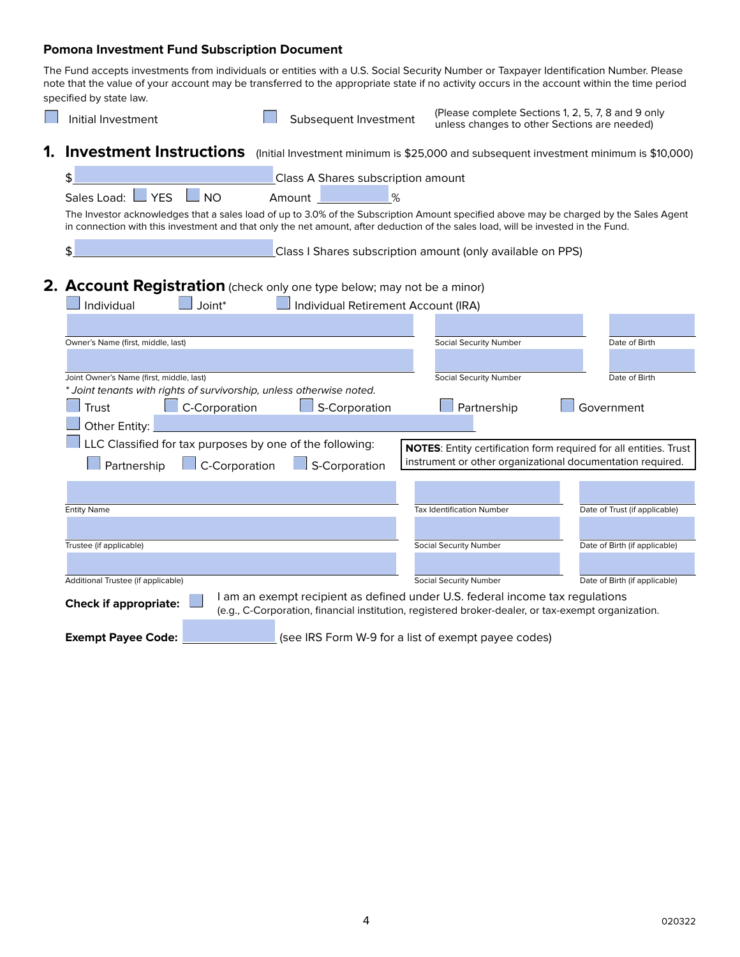#### **Pomona Investment Fund Subscription Document**

The Fund accepts investments from individuals or entities with a U.S. Social Security Number or Taxpayer Identification Number. Please note that the value of your account may be transferred to the appropriate state if no activity occurs in the account within the time period specified by state law.

| Initial Investment                                                                                                                                                                                                                                                          | Subsequent Investment                                                                                                                                                               | (Please complete Sections 1, 2, 5, 7, 8 and 9 only<br>unless changes to other Sections are needed) |                                                                   |
|-----------------------------------------------------------------------------------------------------------------------------------------------------------------------------------------------------------------------------------------------------------------------------|-------------------------------------------------------------------------------------------------------------------------------------------------------------------------------------|----------------------------------------------------------------------------------------------------|-------------------------------------------------------------------|
| Investment Instructions (Initial Investment minimum is \$25,000 and subsequent investment minimum is \$10,000)<br>1.                                                                                                                                                        |                                                                                                                                                                                     |                                                                                                    |                                                                   |
| \$                                                                                                                                                                                                                                                                          | Class A Shares subscription amount                                                                                                                                                  |                                                                                                    |                                                                   |
| $\overline{\phantom{a}}$ YES<br>Sales Load: L<br>$\_$ NO                                                                                                                                                                                                                    | %<br>Amount                                                                                                                                                                         |                                                                                                    |                                                                   |
| The Investor acknowledges that a sales load of up to 3.0% of the Subscription Amount specified above may be charged by the Sales Agent<br>in connection with this investment and that only the net amount, after deduction of the sales load, will be invested in the Fund. |                                                                                                                                                                                     |                                                                                                    |                                                                   |
| \$                                                                                                                                                                                                                                                                          | Class I Shares subscription amount (only available on PPS)                                                                                                                          |                                                                                                    |                                                                   |
| 2. Account Registration (check only one type below; may not be a minor)                                                                                                                                                                                                     |                                                                                                                                                                                     |                                                                                                    |                                                                   |
| Joint*<br>Individual                                                                                                                                                                                                                                                        | Individual Retirement Account (IRA)                                                                                                                                                 |                                                                                                    |                                                                   |
|                                                                                                                                                                                                                                                                             |                                                                                                                                                                                     |                                                                                                    |                                                                   |
| Owner's Name (first, middle, last)                                                                                                                                                                                                                                          |                                                                                                                                                                                     | Social Security Number                                                                             | Date of Birth                                                     |
|                                                                                                                                                                                                                                                                             |                                                                                                                                                                                     |                                                                                                    |                                                                   |
| Joint Owner's Name (first, middle, last)<br>* Joint tenants with rights of survivorship, unless otherwise noted.                                                                                                                                                            |                                                                                                                                                                                     | Social Security Number                                                                             | Date of Birth                                                     |
| C-Corporation<br>Trust                                                                                                                                                                                                                                                      | S-Corporation                                                                                                                                                                       | Partnership                                                                                        | Government                                                        |
| Other Entity:                                                                                                                                                                                                                                                               |                                                                                                                                                                                     |                                                                                                    |                                                                   |
| LLC Classified for tax purposes by one of the following:                                                                                                                                                                                                                    |                                                                                                                                                                                     |                                                                                                    | NOTES: Entity certification form required for all entities. Trust |
| $\Box$ C-Corporation<br>Partnership                                                                                                                                                                                                                                         | $\Box$ S-Corporation                                                                                                                                                                | instrument or other organizational documentation required.                                         |                                                                   |
|                                                                                                                                                                                                                                                                             |                                                                                                                                                                                     |                                                                                                    |                                                                   |
| <b>Entity Name</b>                                                                                                                                                                                                                                                          |                                                                                                                                                                                     | <b>Tax Identification Number</b>                                                                   | Date of Trust (if applicable)                                     |
|                                                                                                                                                                                                                                                                             |                                                                                                                                                                                     |                                                                                                    |                                                                   |
| Trustee (if applicable)                                                                                                                                                                                                                                                     |                                                                                                                                                                                     | <b>Social Security Number</b>                                                                      | Date of Birth (if applicable)                                     |
|                                                                                                                                                                                                                                                                             |                                                                                                                                                                                     |                                                                                                    |                                                                   |
| Additional Trustee (if applicable)                                                                                                                                                                                                                                          |                                                                                                                                                                                     | <b>Social Security Number</b>                                                                      | Date of Birth (if applicable)                                     |
| <b>Check if appropriate:</b>                                                                                                                                                                                                                                                | I am an exempt recipient as defined under U.S. federal income tax regulations<br>(e.g., C-Corporation, financial institution, registered broker-dealer, or tax-exempt organization. |                                                                                                    |                                                                   |
| <b>Exempt Payee Code:</b>                                                                                                                                                                                                                                                   | (see IRS Form W-9 for a list of exempt payee codes)                                                                                                                                 |                                                                                                    |                                                                   |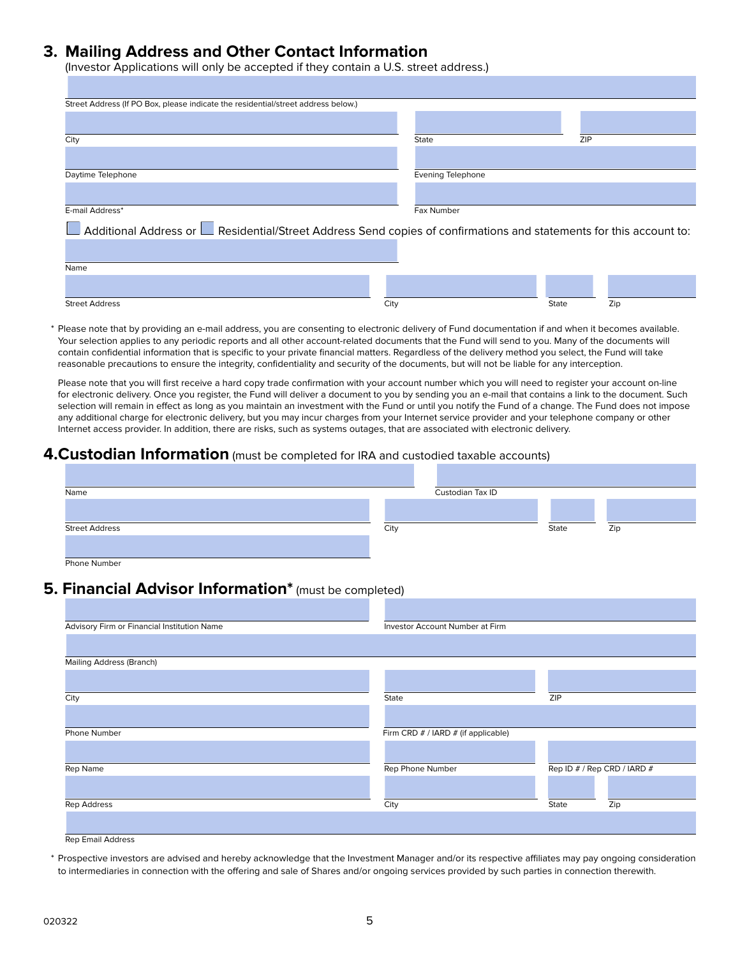## **3. Mailing Address and Other Contact Information**

(Investor Applications will only be accepted if they contain a U.S. street address.)

| Street Address (If PO Box, please indicate the residential/street address below.)                                           |                          |     |
|-----------------------------------------------------------------------------------------------------------------------------|--------------------------|-----|
|                                                                                                                             |                          |     |
| City                                                                                                                        | State                    | ZIP |
|                                                                                                                             |                          |     |
| Daytime Telephone                                                                                                           | <b>Evening Telephone</b> |     |
|                                                                                                                             |                          |     |
| E-mail Address*                                                                                                             | Fax Number               |     |
| Additional Address or <b>La</b> Residential/Street Address Send copies of confirmations and statements for this account to: |                          |     |
|                                                                                                                             |                          |     |
| Name                                                                                                                        |                          |     |
|                                                                                                                             |                          |     |

Please note that by providing an e-mail address, you are consenting to electronic delivery of Fund documentation if and when it becomes available. Your selection applies to any periodic reports and all other account-related documents that the Fund will send to you. Many of the documents will contain confidential information that is specific to your private financial matters. Regardless of the delivery method you select, the Fund will take reasonable precautions to ensure the integrity, confidentiality and security of the documents, but will not be liable for any interception.

Street Address City State Zip

Please note that you will first receive a hard copy trade confirmation with your account number which you will need to register your account on-line for electronic delivery. Once you register, the Fund will deliver a document to you by sending you an e-mail that contains a link to the document. Such selection will remain in effect as long as you maintain an investment with the Fund or until you notify the Fund of a change. The Fund does not impose any additional charge for electronic delivery, but you may incur charges from your Internet service provider and your telephone company or other Internet access provider. In addition, there are risks, such as systems outages, that are associated with electronic delivery.

#### **4.Custodian Information** (must be completed for IRA and custodied taxable accounts)

| Name                  |      | Custodian Tax ID |       |     |
|-----------------------|------|------------------|-------|-----|
|                       |      |                  |       |     |
| <b>Street Address</b> | City |                  | State | Zip |
| Phone Number          |      |                  |       |     |

# **5. Financial Advisor Information\*** (must be completed)

| Advisory Firm or Financial Institution Name | Investor Account Number at Firm     |       |                             |
|---------------------------------------------|-------------------------------------|-------|-----------------------------|
|                                             |                                     |       |                             |
| <b>Mailing Address (Branch)</b>             |                                     |       |                             |
|                                             |                                     |       |                             |
| City                                        | State                               | ZIP   |                             |
|                                             |                                     |       |                             |
| Phone Number                                | Firm CRD # / IARD # (if applicable) |       |                             |
|                                             |                                     |       |                             |
| Rep Name                                    | Rep Phone Number                    |       | Rep ID # / Rep CRD / IARD # |
|                                             |                                     |       |                             |
| <b>Rep Address</b>                          | City                                | State | Zip                         |
|                                             |                                     |       |                             |
| <b>Rep Email Address</b>                    |                                     |       |                             |

 \* Prospective investors are advised and hereby acknowledge that the Investment Manager and/or its respective affiliates may pay ongoing consideration to intermediaries in connection with the offering and sale of Shares and/or ongoing services provided by such parties in connection therewith.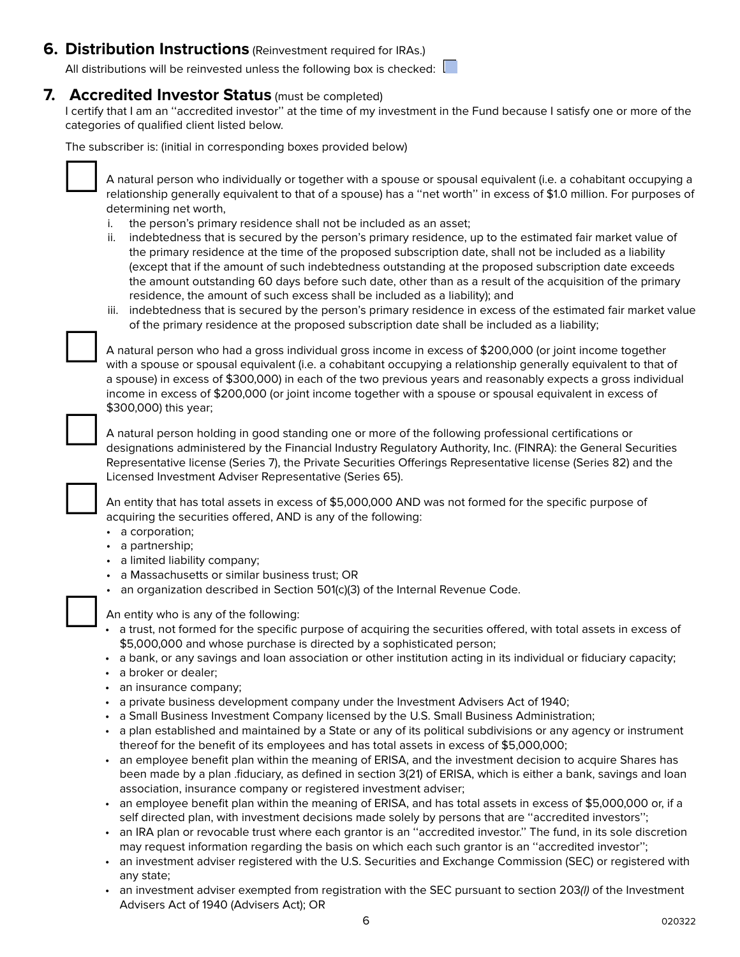# **6. Distribution Instructions** (Reinvestment required for IRAs.)

All distributions will be reinvested unless the following box is checked:  $\|$ 

### **7. Accredited Investor Status** (must be completed)

I certify that I am an ''accredited investor'' at the time of my investment in the Fund because I satisfy one or more of the categories of qualified client listed below.

The subscriber is: (initial in corresponding boxes provided below)



A natural person who individually or together with a spouse or spousal equivalent (i.e. a cohabitant occupying a relationship generally equivalent to that of a spouse) has a ''net worth'' in excess of \$1.0 million. For purposes of determining net worth,

- i. the person's primary residence shall not be included as an asset;
- ii. indebtedness that is secured by the person's primary residence, up to the estimated fair market value of the primary residence at the time of the proposed subscription date, shall not be included as a liability (except that if the amount of such indebtedness outstanding at the proposed subscription date exceeds the amount outstanding 60 days before such date, other than as a result of the acquisition of the primary residence, the amount of such excess shall be included as a liability); and
- iii. indebtedness that is secured by the person's primary residence in excess of the estimated fair market value of the primary residence at the proposed subscription date shall be included as a liability;

A natural person who had a gross individual gross income in excess of \$200,000 (or joint income together with a spouse or spousal equivalent (i.e. a cohabitant occupying a relationship generally equivalent to that of a spouse) in excess of \$300,000) in each of the two previous years and reasonably expects a gross individual income in excess of \$200,000 (or joint income together with a spouse or spousal equivalent in excess of \$300,000) this year;



A natural person holding in good standing one or more of the following professional certifications or<br>designations administered by the Financial Industry Regulatory Authority, Inc. (FINRA): the General Securities Representative license (Series 7), the Private Securities Offerings Representative license (Series 82) and the Licensed Investment Adviser Representative (Series 65).

An entity that has total assets in excess of \$5,000,000 AND was not formed for the specific purpose of acquiring the securities offered, AND is any of the following:

- a corporation;
- a partnership;
- a limited liability company;
- a Massachusetts or similar business trust; OR
- an organization described in Section 501(c)(3) of the Internal Revenue Code.

- An entity who is any of the following:<br>
a trust, not formed for the specific purpose of acquiring the securities offered, with total assets in excess of \$5,000,000 and whose purchase is directed by a sophisticated person;
	- a bank, or any savings and loan association or other institution acting in its individual or fiduciary capacity;
	- a broker or dealer;
	- an insurance company;
	- a private business development company under the Investment Advisers Act of 1940;
	- a Small Business Investment Company licensed by the U.S. Small Business Administration;
	- a plan established and maintained by a State or any of its political subdivisions or any agency or instrument thereof for the benefit of its employees and has total assets in excess of \$5,000,000;
	- an employee benefit plan within the meaning of ERISA, and the investment decision to acquire Shares has been made by a plan .fiduciary, as defined in section 3(21) of ERISA, which is either a bank, savings and loan association, insurance company or registered investment adviser;
	- an employee benefit plan within the meaning of ERISA, and has total assets in excess of \$5,000,000 or, if a self directed plan, with investment decisions made solely by persons that are ''accredited investors'';
	- an IRA plan or revocable trust where each grantor is an ''accredited investor.'' The fund, in its sole discretion may request information regarding the basis on which each such grantor is an ''accredited investor'';
	- an investment adviser registered with the U.S. Securities and Exchange Commission (SEC) or registered with any state;
	- an investment adviser exempted from registration with the SEC pursuant to section 203(I) of the Investment Advisers Act of 1940 (Advisers Act); OR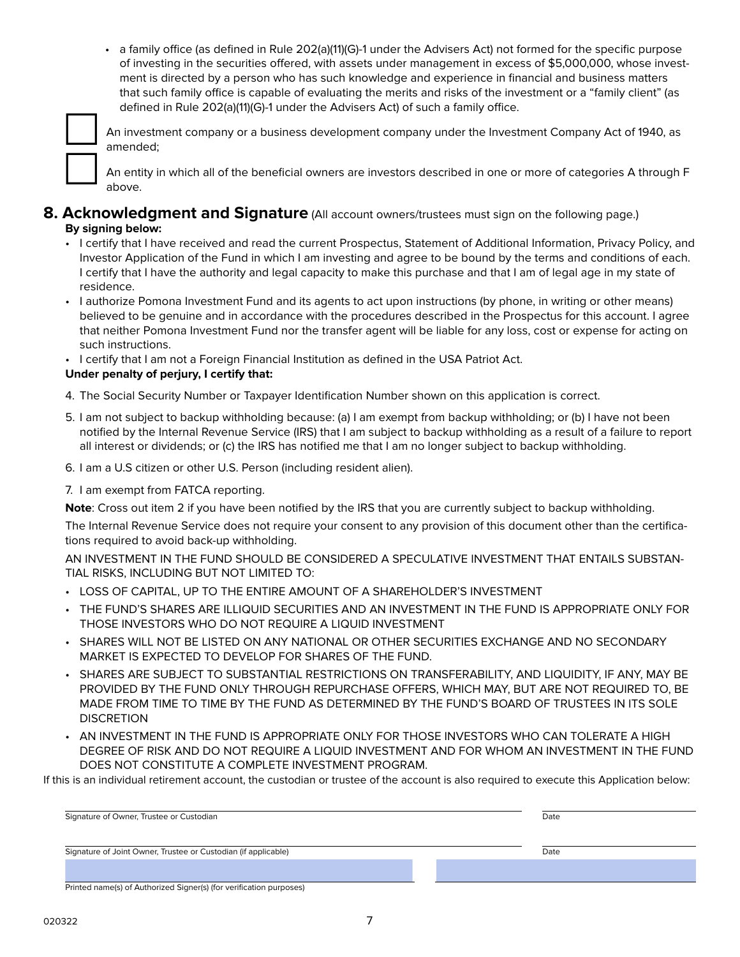• a family office (as defined in Rule 202(a)(11)(G)-1 under the Advisers Act) not formed for the specific purpose of investing in the securities offered, with assets under management in excess of \$5,000,000, whose investment is directed by a person who has such knowledge and experience in financial and business matters that such family office is capable of evaluating the merits and risks of the investment or a "family client" (as defined in Rule 202(a)(11)(G)-1 under the Advisers Act) of such a family office.



An investment company or a business development company under the Investment Company Act of 1940, as amended;

An entity in which all of the beneficial owners are investors described in one or more of categories A through F above.

### **8. Acknowledgment and Signature** (All account owners/trustees must sign on the following page.) **By signing below:**

- I certify that I have received and read the current Prospectus, Statement of Additional Information, Privacy Policy, and Investor Application of the Fund in which I am investing and agree to be bound by the terms and conditions of each. I certify that I have the authority and legal capacity to make this purchase and that I am of legal age in my state of residence.
- I authorize Pomona Investment Fund and its agents to act upon instructions (by phone, in writing or other means) believed to be genuine and in accordance with the procedures described in the Prospectus for this account. I agree that neither Pomona Investment Fund nor the transfer agent will be liable for any loss, cost or expense for acting on such instructions.
- I certify that I am not a Foreign Financial Institution as defined in the USA Patriot Act.

#### **Under penalty of perjury, I certify that:**

- 4. The Social Security Number or Taxpayer Identification Number shown on this application is correct.
- 5. I am not subject to backup withholding because: (a) I am exempt from backup withholding; or (b) I have not been notified by the Internal Revenue Service (IRS) that I am subject to backup withholding as a result of a failure to report all interest or dividends; or (c) the IRS has notified me that I am no longer subject to backup withholding.
- 6. I am a U.S citizen or other U.S. Person (including resident alien).
- 7. I am exempt from FATCA reporting.

**Note**: Cross out item 2 if you have been notified by the IRS that you are currently subject to backup withholding.

The Internal Revenue Service does not require your consent to any provision of this document other than the certifications required to avoid back-up withholding.

AN INVESTMENT IN THE FUND SHOULD BE CONSIDERED A SPECULATIVE INVESTMENT THAT ENTAILS SUBSTAN-TIAL RISKS, INCLUDING BUT NOT LIMITED TO:

- LOSS OF CAPITAL, UP TO THE ENTIRE AMOUNT OF A SHAREHOLDER'S INVESTMENT
- THE FUND'S SHARES ARE ILLIQUID SECURITIES AND AN INVESTMENT IN THE FUND IS APPROPRIATE ONLY FOR THOSE INVESTORS WHO DO NOT REQUIRE A LIQUID INVESTMENT
- SHARES WILL NOT BE LISTED ON ANY NATIONAL OR OTHER SECURITIES EXCHANGE AND NO SECONDARY MARKET IS EXPECTED TO DEVELOP FOR SHARES OF THE FUND.
- SHARES ARE SUBJECT TO SUBSTANTIAL RESTRICTIONS ON TRANSFERABILITY, AND LIQUIDITY, IF ANY, MAY BE PROVIDED BY THE FUND ONLY THROUGH REPURCHASE OFFERS, WHICH MAY, BUT ARE NOT REQUIRED TO, BE MADE FROM TIME TO TIME BY THE FUND AS DETERMINED BY THE FUND'S BOARD OF TRUSTEES IN ITS SOLE **DISCRETION**
- AN INVESTMENT IN THE FUND IS APPROPRIATE ONLY FOR THOSE INVESTORS WHO CAN TOLERATE A HIGH DEGREE OF RISK AND DO NOT REQUIRE A LIQUID INVESTMENT AND FOR WHOM AN INVESTMENT IN THE FUND DOES NOT CONSTITUTE A COMPLETE INVESTMENT PROGRAM.

If this is an individual retirement account, the custodian or trustee of the account is also required to execute this Application below:

| Signature of Owner, Trustee or Custodian                       | Date |
|----------------------------------------------------------------|------|
| Signature of Joint Owner, Trustee or Custodian (if applicable) | Date |
|                                                                |      |